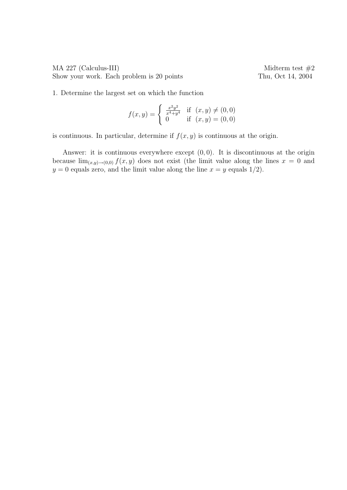MA 227 (Calculus-III) Midterm test  $\#2$ Show your work. Each problem is 20 points Thu, Oct 14, 2004

1. Determine the largest set on which the function

$$
f(x,y) = \begin{cases} \frac{x^2y^2}{x^4+y^4} & \text{if } (x,y) \neq (0,0) \\ 0 & \text{if } (x,y) = (0,0) \end{cases}
$$

is continuous. In particular, determine if  $f(x, y)$  is continuous at the origin.

Answer: it is continuous everywhere except  $(0, 0)$ . It is discontinuous at the origin because  $\lim_{(x,y)\to(0,0)} f(x,y)$  does not exist (the limit value along the lines  $x = 0$  and  $y = 0$  equals zero, and the limit value along the line  $x = y$  equals 1/2).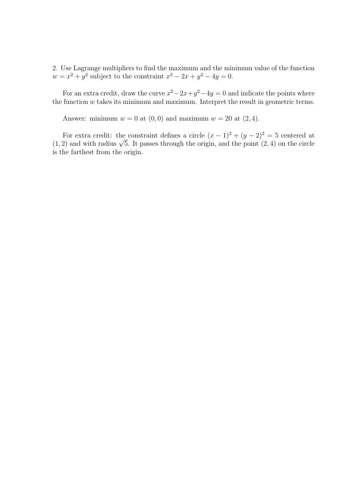2. Use Lagrange multipliers to find the maximum and the minimum value of the function  $w = x^2 + y^2$  subject to the constraint  $x^2 - 2x + y^2 - 4y = 0$ .

For an extra credit, draw the curve  $x^2 - 2x + y^2 - 4y = 0$  and indicate the points where the function  $w$  takes its minimum and maximum. Interpret the result in geometric terms.

Answer: minimum  $w = 0$  at  $(0, 0)$  and maximum  $w = 20$  at  $(2, 4)$ .

For extra credit: the constraint defines a circle  $(x - 1)^2 + (y - 2)^2 = 5$  centered at For extra credit: the constraint dennes a circle  $(x - 1)^2 + (y - 2)^2 = 3$  centered at  $(1, 2)$  and with radius  $\sqrt{5}$ . It passes through the origin, and the point  $(2, 4)$  on the circle is the farthest from the origin.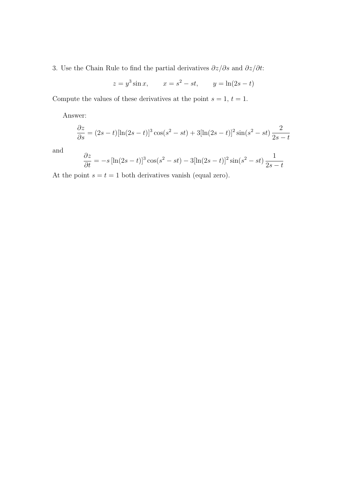3. Use the Chain Rule to find the partial derivatives  $\partial z/\partial s$  and  $\partial z/\partial t$ :

$$
z = y^3 \sin x
$$
,  $x = s^2 - st$ ,  $y = \ln(2s - t)$ 

Compute the values of these derivatives at the point  $s = 1, t = 1$ .

Answer:

$$
\frac{\partial z}{\partial s} = (2s - t) [\ln(2s - t)]^3 \cos(s^2 - st) + 3[\ln(2s - t)]^2 \sin(s^2 - st) \frac{2}{2s - t}
$$

and

$$
\frac{\partial z}{\partial t} = -s \left[ \ln(2s - t) \right]^3 \cos(s^2 - st) - 3[\ln(2s - t)]^2 \sin(s^2 - st) \frac{1}{2s - t}
$$

At the point  $s = t = 1$  both derivatives vanish (equal zero).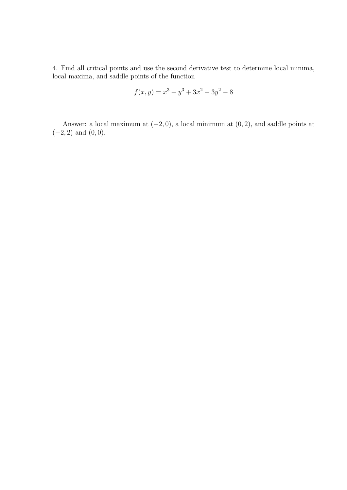4. Find all critical points and use the second derivative test to determine local minima, local maxima, and saddle points of the function

$$
f(x,y) = x^3 + y^3 + 3x^2 - 3y^2 - 8
$$

Answer: a local maximum at  $(-2, 0)$ , a local minimum at  $(0, 2)$ , and saddle points at  $(-2, 2)$  and  $(0, 0)$ .